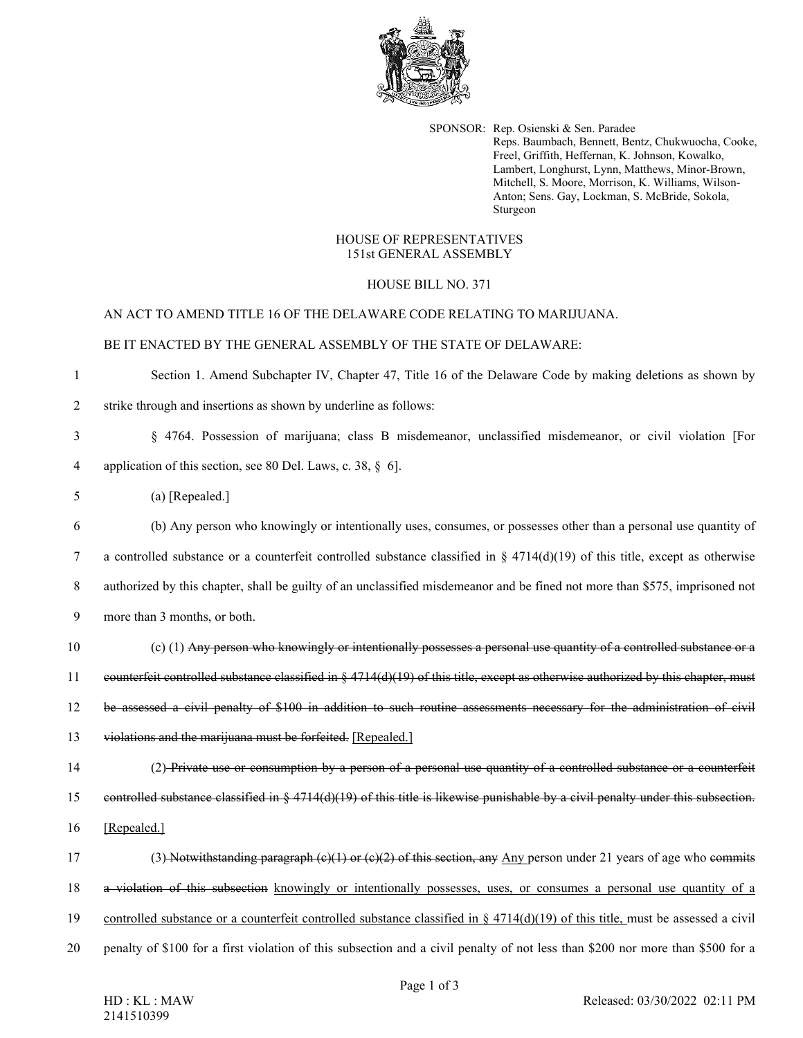

SPONSOR: Rep. Osienski & Sen. Paradee Reps. Baumbach, Bennett, Bentz, Chukwuocha, Cooke, Freel, Griffith, Heffernan, K. Johnson, Kowalko, Lambert, Longhurst, Lynn, Matthews, Minor-Brown, Mitchell, S. Moore, Morrison, K. Williams, Wilson-Anton; Sens. Gay, Lockman, S. McBride, Sokola, Sturgeon

### HOUSE OF REPRESENTATIVES 151st GENERAL ASSEMBLY

## HOUSE BILL NO. 371

#### AN ACT TO AMEND TITLE 16 OF THE DELAWARE CODE RELATING TO MARIJUANA.

## BE IT ENACTED BY THE GENERAL ASSEMBLY OF THE STATE OF DELAWARE:

| 1              | Section 1. Amend Subchapter IV, Chapter 47, Title 16 of the Delaware Code by making deletions as shown by                           |
|----------------|-------------------------------------------------------------------------------------------------------------------------------------|
| $\overline{2}$ | strike through and insertions as shown by underline as follows:                                                                     |
| 3              | § 4764. Possession of marijuana; class B misdemeanor, unclassified misdemeanor, or civil violation [For                             |
| 4              | application of this section, see 80 Del. Laws, c. 38, § 6].                                                                         |
| 5              | $(a)$ [Repealed.]                                                                                                                   |
| 6              | (b) Any person who knowingly or intentionally uses, consumes, or possesses other than a personal use quantity of                    |
| 7              | a controlled substance or a counterfeit controlled substance classified in § 4714(d)(19) of this title, except as otherwise         |
| 8              | authorized by this chapter, shall be guilty of an unclassified misdemeanor and be fined not more than \$575, imprisoned not         |
| 9              | more than 3 months, or both.                                                                                                        |
| 10             | (c) (1) Any person who knowingly or intentionally possesses a personal use quantity of a controlled substance or a                  |
| 11             | counterfeit controlled substance classified in $\S 4714(d)(19)$ of this title, except as otherwise authorized by this chapter, must |
| 12             | be assessed a civil penalty of \$100 in addition to such routine assessments necessary for the administration of civil              |
| 13             | violations and the marijuana must be forfeited. [Repealed.]                                                                         |
| 14             | (2) Private use or consumption by a person of a personal use quantity of a controlled substance or a counterfeit                    |
| 15             | controlled substance classified in $\S$ 4714(d)(19) of this title is likewise punishable by a civil penalty under this subsection.  |
| 16             | [Repealed.]                                                                                                                         |
| 17             | (3) Notwithstanding paragraph $(e)(1)$ or $(e)(2)$ of this section, any Any person under 21 years of age who commits                |
| 18             | a violation of this subsection knowingly or intentionally possesses, uses, or consumes a personal use quantity of a                 |
| 19             | controlled substance or a counterfeit controlled substance classified in $\S$ 4714(d)(19) of this title, must be assessed a civil   |
| 20             | penalty of \$100 for a first violation of this subsection and a civil penalty of not less than \$200 nor more than \$500 for a      |
|                |                                                                                                                                     |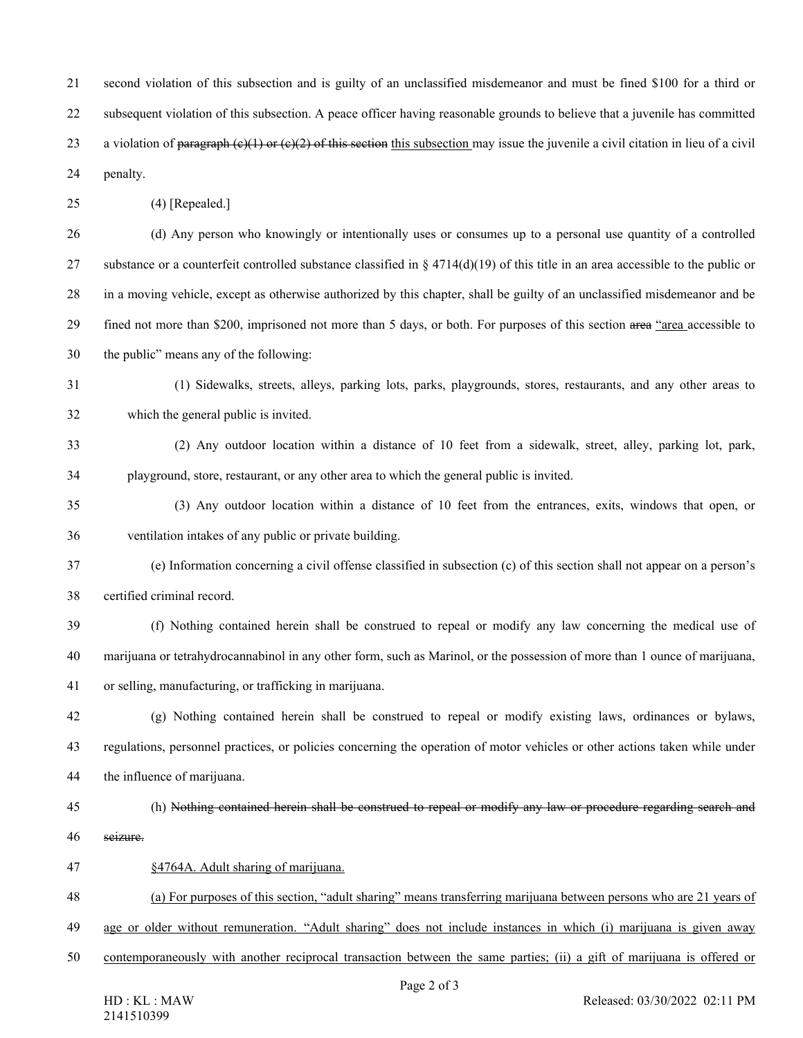21 second violation of this subsection and is guilty of an unclassified misdemeanor and must be fined \$100 for a third or 22 subsequent violation of this subsection. A peace officer having reasonable grounds to believe that a juvenile has committed 23 a violation of paragraph  $(e)(1)$  or  $(e)(2)$  of this section this subsection may issue the juvenile a civil citation in lieu of a civil 24 penalty.

25 (4) [Repealed.]

26 (d) Any person who knowingly or intentionally uses or consumes up to a personal use quantity of a controlled 27 substance or a counterfeit controlled substance classified in  $\S 4714(d)(19)$  of this title in an area accessible to the public or 28 in a moving vehicle, except as otherwise authorized by this chapter, shall be guilty of an unclassified misdemeanor and be 29 fined not more than \$200, imprisoned not more than 5 days, or both. For purposes of this section area "area accessible to 30 the public" means any of the following:

- 31 (1) Sidewalks, streets, alleys, parking lots, parks, playgrounds, stores, restaurants, and any other areas to 32 which the general public is invited.
- 33 (2) Any outdoor location within a distance of 10 feet from a sidewalk, street, alley, parking lot, park, 34 playground, store, restaurant, or any other area to which the general public is invited.
- 35 (3) Any outdoor location within a distance of 10 feet from the entrances, exits, windows that open, or 36 ventilation intakes of any public or private building.
- 37 (e) Information concerning a civil offense classified in subsection (c) of this section shall not appear on a person's 38 certified criminal record.
- 39 (f) Nothing contained herein shall be construed to repeal or modify any law concerning the medical use of 40 marijuana or tetrahydrocannabinol in any other form, such as Marinol, or the possession of more than 1 ounce of marijuana, 41 or selling, manufacturing, or trafficking in marijuana.
- 42 (g) Nothing contained herein shall be construed to repeal or modify existing laws, ordinances or bylaws, 43 regulations, personnel practices, or policies concerning the operation of motor vehicles or other actions taken while under 44 the influence of marijuana.
- 45 (h) Nothing contained herein shall be construed to repeal or modify any law or procedure regarding search and 46 seizure.
- 47 §4764A. Adult sharing of marijuana.
- 48 (a) For purposes of this section, "adult sharing" means transferring marijuana between persons who are 21 years of
- 49 age or older without remuneration. "Adult sharing" does not include instances in which (i) marijuana is given away
- 50 contemporaneously with another reciprocal transaction between the same parties; (ii) a gift of marijuana is offered or